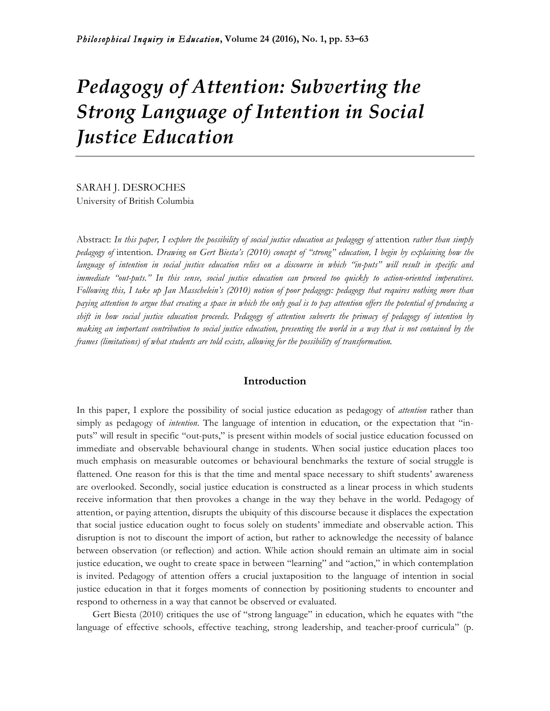# *Pedagogy of Attention: Subverting the Strong Language of Intention in Social Justice Education*

SARAH J. DESROCHES University of British Columbia

Abstract: In this paper, I explore the possibility of social justice education as pedagogy of attention *rather than simply pedagogy of* intention*. Drawing on Gert Biesta's (2010) concept of "strong" education, I begin by explaining how the language of intention in social justice education relies on a discourse in which "in-puts" will result in specific and immediate "out-puts." In this sense, social justice education can proceed too quickly to action-oriented imperatives. Following this, I take up Jan Masschelein's (2010) notion of poor pedagogy: pedagogy that requires nothing more than paying attention to argue that creating a space in which the only goal is to pay attention offers the potential of producing a shift in how social justice education proceeds. Pedagogy of attention subverts the primacy of pedagogy of intention by making an important contribution to social justice education, presenting the world in a way that is not contained by the frames (limitations) of what students are told exists, allowing for the possibility of transformation.*

## **Introduction**

In this paper, I explore the possibility of social justice education as pedagogy of *attention* rather than simply as pedagogy of *intention*. The language of intention in education, or the expectation that "inputs" will result in specific "out-puts," is present within models of social justice education focussed on immediate and observable behavioural change in students. When social justice education places too much emphasis on measurable outcomes or behavioural benchmarks the texture of social struggle is flattened. One reason for this is that the time and mental space necessary to shift students' awareness are overlooked. Secondly, social justice education is constructed as a linear process in which students receive information that then provokes a change in the way they behave in the world. Pedagogy of attention, or paying attention, disrupts the ubiquity of this discourse because it displaces the expectation that social justice education ought to focus solely on students' immediate and observable action. This disruption is not to discount the import of action, but rather to acknowledge the necessity of balance between observation (or reflection) and action. While action should remain an ultimate aim in social justice education, we ought to create space in between "learning" and "action," in which contemplation is invited. Pedagogy of attention offers a crucial juxtaposition to the language of intention in social justice education in that it forges moments of connection by positioning students to encounter and respond to otherness in a way that cannot be observed or evaluated.

Gert Biesta (2010) critiques the use of "strong language" in education, which he equates with "the language of effective schools, effective teaching, strong leadership, and teacher-proof curricula" (p.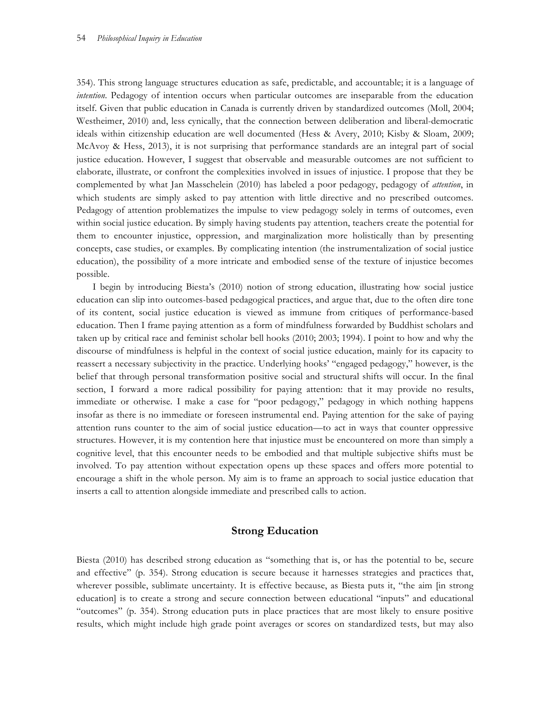354). This strong language structures education as safe, predictable, and accountable; it is a language of *intention*. Pedagogy of intention occurs when particular outcomes are inseparable from the education itself. Given that public education in Canada is currently driven by standardized outcomes (Moll, 2004; Westheimer, 2010) and, less cynically, that the connection between deliberation and liberal-democratic ideals within citizenship education are well documented (Hess & Avery, 2010; Kisby & Sloam, 2009; McAvoy & Hess, 2013), it is not surprising that performance standards are an integral part of social justice education. However, I suggest that observable and measurable outcomes are not sufficient to elaborate, illustrate, or confront the complexities involved in issues of injustice. I propose that they be complemented by what Jan Masschelein (2010) has labeled a poor pedagogy, pedagogy of *attention*, in which students are simply asked to pay attention with little directive and no prescribed outcomes. Pedagogy of attention problematizes the impulse to view pedagogy solely in terms of outcomes, even within social justice education. By simply having students pay attention, teachers create the potential for them to encounter injustice, oppression, and marginalization more holistically than by presenting concepts, case studies, or examples. By complicating intention (the instrumentalization of social justice education), the possibility of a more intricate and embodied sense of the texture of injustice becomes possible.

I begin by introducing Biesta's (2010) notion of strong education, illustrating how social justice education can slip into outcomes-based pedagogical practices, and argue that, due to the often dire tone of its content, social justice education is viewed as immune from critiques of performance-based education. Then I frame paying attention as a form of mindfulness forwarded by Buddhist scholars and taken up by critical race and feminist scholar bell hooks (2010; 2003; 1994). I point to how and why the discourse of mindfulness is helpful in the context of social justice education, mainly for its capacity to reassert a necessary subjectivity in the practice. Underlying hooks' "engaged pedagogy," however, is the belief that through personal transformation positive social and structural shifts will occur. In the final section, I forward a more radical possibility for paying attention: that it may provide no results, immediate or otherwise. I make a case for "poor pedagogy," pedagogy in which nothing happens insofar as there is no immediate or foreseen instrumental end. Paying attention for the sake of paying attention runs counter to the aim of social justice education—to act in ways that counter oppressive structures. However, it is my contention here that injustice must be encountered on more than simply a cognitive level, that this encounter needs to be embodied and that multiple subjective shifts must be involved. To pay attention without expectation opens up these spaces and offers more potential to encourage a shift in the whole person. My aim is to frame an approach to social justice education that inserts a call to attention alongside immediate and prescribed calls to action.

#### **Strong Education**

Biesta (2010) has described strong education as "something that is, or has the potential to be, secure and effective" (p. 354). Strong education is secure because it harnesses strategies and practices that, wherever possible, sublimate uncertainty. It is effective because, as Biesta puts it, "the aim [in strong education] is to create a strong and secure connection between educational "inputs" and educational "outcomes" (p. 354). Strong education puts in place practices that are most likely to ensure positive results, which might include high grade point averages or scores on standardized tests, but may also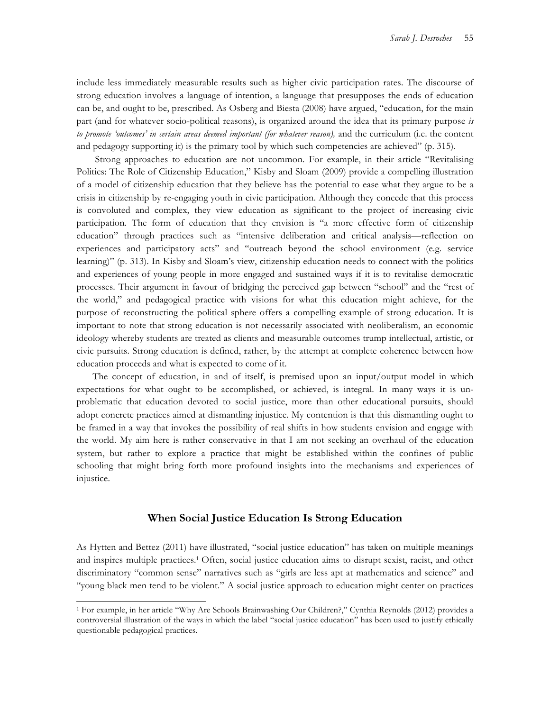include less immediately measurable results such as higher civic participation rates. The discourse of strong education involves a language of intention, a language that presupposes the ends of education can be, and ought to be, prescribed. As Osberg and Biesta (2008) have argued, "education, for the main part (and for whatever socio-political reasons), is organized around the idea that its primary purpose *is to promote 'outcomes' in certain areas deemed important (for whatever reason),* and the curriculum (i.e. the content and pedagogy supporting it) is the primary tool by which such competencies are achieved" (p. 315).

Strong approaches to education are not uncommon. For example, in their article "Revitalising Politics: The Role of Citizenship Education," Kisby and Sloam (2009) provide a compelling illustration of a model of citizenship education that they believe has the potential to ease what they argue to be a crisis in citizenship by re-engaging youth in civic participation. Although they concede that this process is convoluted and complex, they view education as significant to the project of increasing civic participation. The form of education that they envision is "a more effective form of citizenship education" through practices such as "intensive deliberation and critical analysis—reflection on experiences and participatory acts" and "outreach beyond the school environment (e.g. service learning)" (p. 313). In Kisby and Sloam's view, citizenship education needs to connect with the politics and experiences of young people in more engaged and sustained ways if it is to revitalise democratic processes. Their argument in favour of bridging the perceived gap between "school" and the "rest of the world," and pedagogical practice with visions for what this education might achieve, for the purpose of reconstructing the political sphere offers a compelling example of strong education. It is important to note that strong education is not necessarily associated with neoliberalism, an economic ideology whereby students are treated as clients and measurable outcomes trump intellectual, artistic, or civic pursuits. Strong education is defined, rather, by the attempt at complete coherence between how education proceeds and what is expected to come of it.

The concept of education, in and of itself, is premised upon an input/output model in which expectations for what ought to be accomplished, or achieved, is integral. In many ways it is unproblematic that education devoted to social justice, more than other educational pursuits, should adopt concrete practices aimed at dismantling injustice. My contention is that this dismantling ought to be framed in a way that invokes the possibility of real shifts in how students envision and engage with the world. My aim here is rather conservative in that I am not seeking an overhaul of the education system, but rather to explore a practice that might be established within the confines of public schooling that might bring forth more profound insights into the mechanisms and experiences of injustice.

## **When Social Justice Education Is Strong Education**

As Hytten and Bettez (2011) have illustrated, "social justice education" has taken on multiple meanings and inspires multiple practices.1 Often, social justice education aims to disrupt sexist, racist, and other discriminatory "common sense" narratives such as "girls are less apt at mathematics and science" and "young black men tend to be violent." A social justice approach to education might center on practices

 $\overline{a}$ 

<sup>1</sup> For example, in her article "Why Are Schools Brainwashing Our Children?," Cynthia Reynolds (2012) provides a controversial illustration of the ways in which the label "social justice education" has been used to justify ethically questionable pedagogical practices.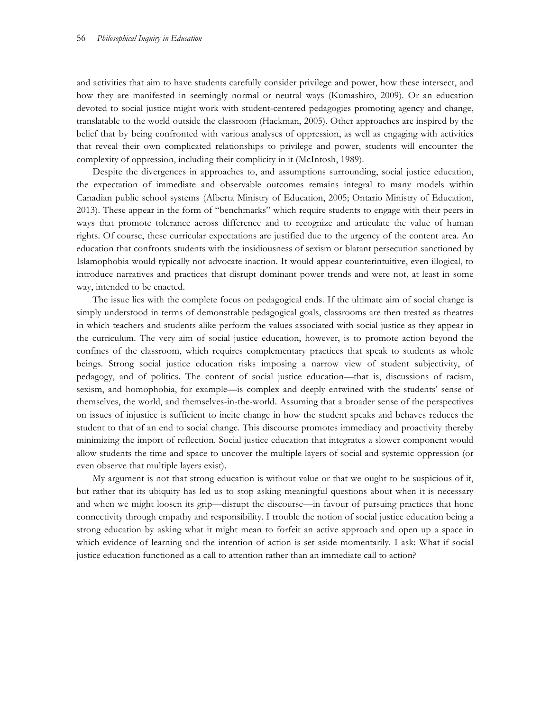and activities that aim to have students carefully consider privilege and power, how these intersect, and how they are manifested in seemingly normal or neutral ways (Kumashiro, 2009). Or an education devoted to social justice might work with student-centered pedagogies promoting agency and change, translatable to the world outside the classroom (Hackman, 2005). Other approaches are inspired by the belief that by being confronted with various analyses of oppression, as well as engaging with activities that reveal their own complicated relationships to privilege and power, students will encounter the complexity of oppression, including their complicity in it (McIntosh, 1989).

Despite the divergences in approaches to, and assumptions surrounding, social justice education, the expectation of immediate and observable outcomes remains integral to many models within Canadian public school systems (Alberta Ministry of Education, 2005; Ontario Ministry of Education, 2013). These appear in the form of "benchmarks" which require students to engage with their peers in ways that promote tolerance across difference and to recognize and articulate the value of human rights. Of course, these curricular expectations are justified due to the urgency of the content area. An education that confronts students with the insidiousness of sexism or blatant persecution sanctioned by Islamophobia would typically not advocate inaction. It would appear counterintuitive, even illogical, to introduce narratives and practices that disrupt dominant power trends and were not, at least in some way, intended to be enacted.

The issue lies with the complete focus on pedagogical ends. If the ultimate aim of social change is simply understood in terms of demonstrable pedagogical goals, classrooms are then treated as theatres in which teachers and students alike perform the values associated with social justice as they appear in the curriculum. The very aim of social justice education, however, is to promote action beyond the confines of the classroom, which requires complementary practices that speak to students as whole beings. Strong social justice education risks imposing a narrow view of student subjectivity, of pedagogy, and of politics. The content of social justice education—that is, discussions of racism, sexism, and homophobia, for example—is complex and deeply entwined with the students' sense of themselves, the world, and themselves-in-the-world. Assuming that a broader sense of the perspectives on issues of injustice is sufficient to incite change in how the student speaks and behaves reduces the student to that of an end to social change. This discourse promotes immediacy and proactivity thereby minimizing the import of reflection. Social justice education that integrates a slower component would allow students the time and space to uncover the multiple layers of social and systemic oppression (or even observe that multiple layers exist).

My argument is not that strong education is without value or that we ought to be suspicious of it, but rather that its ubiquity has led us to stop asking meaningful questions about when it is necessary and when we might loosen its grip—disrupt the discourse—in favour of pursuing practices that hone connectivity through empathy and responsibility. I trouble the notion of social justice education being a strong education by asking what it might mean to forfeit an active approach and open up a space in which evidence of learning and the intention of action is set aside momentarily. I ask: What if social justice education functioned as a call to attention rather than an immediate call to action?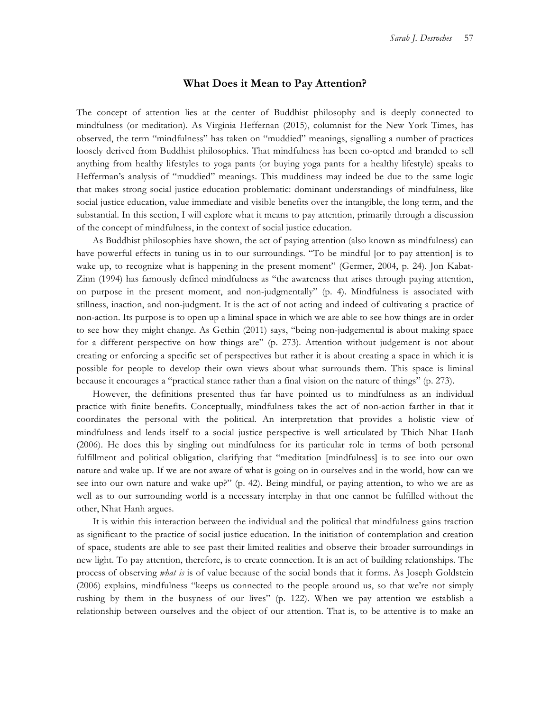#### **What Does it Mean to Pay Attention?**

The concept of attention lies at the center of Buddhist philosophy and is deeply connected to mindfulness (or meditation). As Virginia Heffernan (2015), columnist for the New York Times, has observed, the term "mindfulness" has taken on "muddied" meanings, signalling a number of practices loosely derived from Buddhist philosophies. That mindfulness has been co-opted and branded to sell anything from healthy lifestyles to yoga pants (or buying yoga pants for a healthy lifestyle) speaks to Hefferman's analysis of "muddied" meanings. This muddiness may indeed be due to the same logic that makes strong social justice education problematic: dominant understandings of mindfulness, like social justice education, value immediate and visible benefits over the intangible, the long term, and the substantial. In this section, I will explore what it means to pay attention, primarily through a discussion of the concept of mindfulness, in the context of social justice education.

As Buddhist philosophies have shown, the act of paying attention (also known as mindfulness) can have powerful effects in tuning us in to our surroundings. "To be mindful [or to pay attention] is to wake up, to recognize what is happening in the present moment" (Germer, 2004, p. 24). Jon Kabat-Zinn (1994) has famously defined mindfulness as "the awareness that arises through paying attention, on purpose in the present moment, and non-judgmentally" (p. 4). Mindfulness is associated with stillness, inaction, and non-judgment. It is the act of not acting and indeed of cultivating a practice of non-action. Its purpose is to open up a liminal space in which we are able to see how things are in order to see how they might change. As Gethin (2011) says, "being non-judgemental is about making space for a different perspective on how things are" (p. 273). Attention without judgement is not about creating or enforcing a specific set of perspectives but rather it is about creating a space in which it is possible for people to develop their own views about what surrounds them. This space is liminal because it encourages a "practical stance rather than a final vision on the nature of things" (p. 273).

However, the definitions presented thus far have pointed us to mindfulness as an individual practice with finite benefits. Conceptually, mindfulness takes the act of non-action farther in that it coordinates the personal with the political. An interpretation that provides a holistic view of mindfulness and lends itself to a social justice perspective is well articulated by Thich Nhat Hanh (2006). He does this by singling out mindfulness for its particular role in terms of both personal fulfillment and political obligation, clarifying that "meditation [mindfulness] is to see into our own nature and wake up. If we are not aware of what is going on in ourselves and in the world, how can we see into our own nature and wake up?" (p. 42). Being mindful, or paying attention, to who we are as well as to our surrounding world is a necessary interplay in that one cannot be fulfilled without the other, Nhat Hanh argues.

It is within this interaction between the individual and the political that mindfulness gains traction as significant to the practice of social justice education. In the initiation of contemplation and creation of space, students are able to see past their limited realities and observe their broader surroundings in new light. To pay attention, therefore, is to create connection. It is an act of building relationships. The process of observing *what is* is of value because of the social bonds that it forms. As Joseph Goldstein (2006) explains, mindfulness "keeps us connected to the people around us, so that we're not simply rushing by them in the busyness of our lives" (p. 122). When we pay attention we establish a relationship between ourselves and the object of our attention. That is, to be attentive is to make an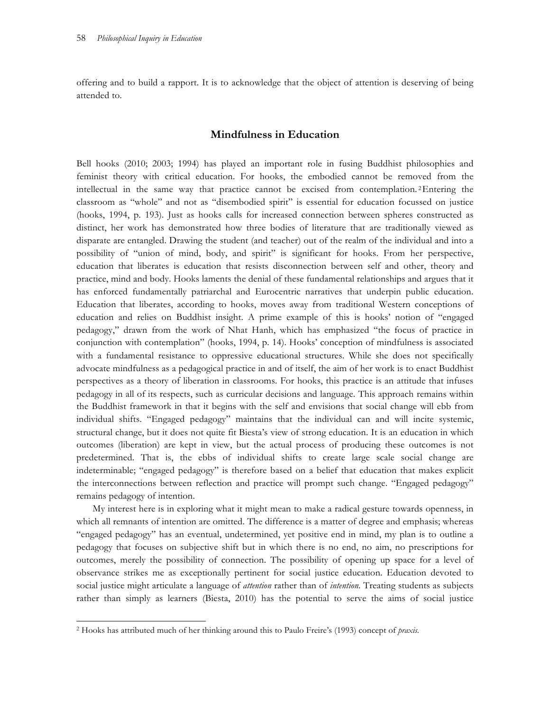offering and to build a rapport. It is to acknowledge that the object of attention is deserving of being attended to.

## **Mindfulness in Education**

Bell hooks (2010; 2003; 1994) has played an important role in fusing Buddhist philosophies and feminist theory with critical education. For hooks, the embodied cannot be removed from the intellectual in the same way that practice cannot be excised from contemplation. 2Entering the classroom as "whole" and not as "disembodied spirit" is essential for education focussed on justice (hooks, 1994, p. 193). Just as hooks calls for increased connection between spheres constructed as distinct, her work has demonstrated how three bodies of literature that are traditionally viewed as disparate are entangled. Drawing the student (and teacher) out of the realm of the individual and into a possibility of "union of mind, body, and spirit" is significant for hooks. From her perspective, education that liberates is education that resists disconnection between self and other, theory and practice, mind and body. Hooks laments the denial of these fundamental relationships and argues that it has enforced fundamentally patriarchal and Eurocentric narratives that underpin public education. Education that liberates, according to hooks, moves away from traditional Western conceptions of education and relies on Buddhist insight. A prime example of this is hooks' notion of "engaged pedagogy," drawn from the work of Nhat Hanh, which has emphasized "the focus of practice in conjunction with contemplation" (hooks, 1994, p. 14). Hooks' conception of mindfulness is associated with a fundamental resistance to oppressive educational structures. While she does not specifically advocate mindfulness as a pedagogical practice in and of itself, the aim of her work is to enact Buddhist perspectives as a theory of liberation in classrooms. For hooks, this practice is an attitude that infuses pedagogy in all of its respects, such as curricular decisions and language. This approach remains within the Buddhist framework in that it begins with the self and envisions that social change will ebb from individual shifts. "Engaged pedagogy" maintains that the individual can and will incite systemic, structural change, but it does not quite fit Biesta's view of strong education. It is an education in which outcomes (liberation) are kept in view, but the actual process of producing these outcomes is not predetermined. That is, the ebbs of individual shifts to create large scale social change are indeterminable; "engaged pedagogy" is therefore based on a belief that education that makes explicit the interconnections between reflection and practice will prompt such change. "Engaged pedagogy" remains pedagogy of intention.

My interest here is in exploring what it might mean to make a radical gesture towards openness, in which all remnants of intention are omitted. The difference is a matter of degree and emphasis; whereas "engaged pedagogy" has an eventual, undetermined, yet positive end in mind, my plan is to outline a pedagogy that focuses on subjective shift but in which there is no end, no aim, no prescriptions for outcomes, merely the possibility of connection. The possibility of opening up space for a level of observance strikes me as exceptionally pertinent for social justice education. Education devoted to social justice might articulate a language of *attention* rather than of *intention*. Treating students as subjects rather than simply as learners (Biesta, 2010) has the potential to serve the aims of social justice

 $\overline{a}$ 

<sup>2</sup> Hooks has attributed much of her thinking around this to Paulo Freire's (1993) concept of *praxis.*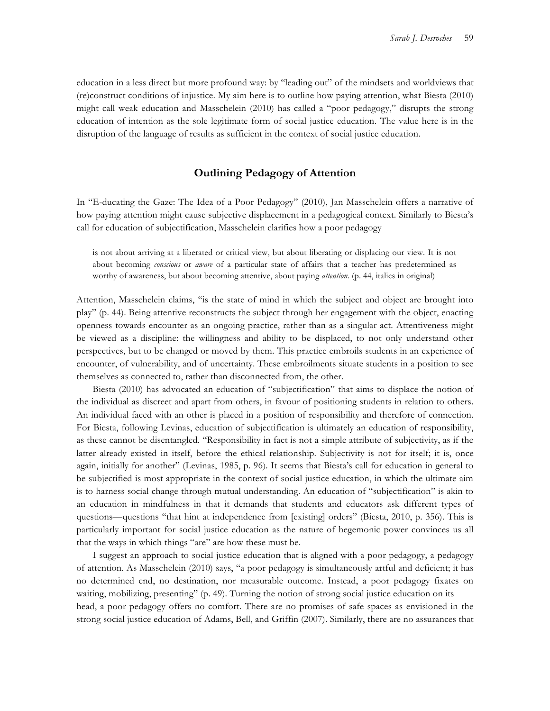education in a less direct but more profound way: by "leading out" of the mindsets and worldviews that (re)construct conditions of injustice. My aim here is to outline how paying attention, what Biesta (2010) might call weak education and Masschelein (2010) has called a "poor pedagogy," disrupts the strong education of intention as the sole legitimate form of social justice education. The value here is in the disruption of the language of results as sufficient in the context of social justice education.

## **Outlining Pedagogy of Attention**

In "E-ducating the Gaze: The Idea of a Poor Pedagogy" (2010), Jan Masschelein offers a narrative of how paying attention might cause subjective displacement in a pedagogical context. Similarly to Biesta's call for education of subjectification, Masschelein clarifies how a poor pedagogy

is not about arriving at a liberated or critical view, but about liberating or displacing our view. It is not about becoming *conscious* or *aware* of a particular state of affairs that a teacher has predetermined as worthy of awareness, but about becoming attentive, about paying *attention*. (p. 44, italics in original)

Attention, Masschelein claims, "is the state of mind in which the subject and object are brought into play" (p. 44). Being attentive reconstructs the subject through her engagement with the object, enacting openness towards encounter as an ongoing practice, rather than as a singular act. Attentiveness might be viewed as a discipline: the willingness and ability to be displaced, to not only understand other perspectives, but to be changed or moved by them. This practice embroils students in an experience of encounter, of vulnerability, and of uncertainty. These embroilments situate students in a position to see themselves as connected to, rather than disconnected from, the other.

Biesta (2010) has advocated an education of "subjectification" that aims to displace the notion of the individual as discreet and apart from others, in favour of positioning students in relation to others. An individual faced with an other is placed in a position of responsibility and therefore of connection. For Biesta, following Levinas, education of subjectification is ultimately an education of responsibility, as these cannot be disentangled. "Responsibility in fact is not a simple attribute of subjectivity, as if the latter already existed in itself, before the ethical relationship. Subjectivity is not for itself; it is, once again, initially for another" (Levinas, 1985, p. 96). It seems that Biesta's call for education in general to be subjectified is most appropriate in the context of social justice education, in which the ultimate aim is to harness social change through mutual understanding. An education of "subjectification" is akin to an education in mindfulness in that it demands that students and educators ask different types of questions—questions "that hint at independence from [existing] orders" (Biesta, 2010, p. 356). This is particularly important for social justice education as the nature of hegemonic power convinces us all that the ways in which things "are" are how these must be.

I suggest an approach to social justice education that is aligned with a poor pedagogy, a pedagogy of attention. As Masschelein (2010) says, "a poor pedagogy is simultaneously artful and deficient; it has no determined end, no destination, nor measurable outcome. Instead, a poor pedagogy fixates on waiting, mobilizing, presenting" (p. 49). Turning the notion of strong social justice education on its head, a poor pedagogy offers no comfort. There are no promises of safe spaces as envisioned in the strong social justice education of Adams, Bell, and Griffin (2007). Similarly, there are no assurances that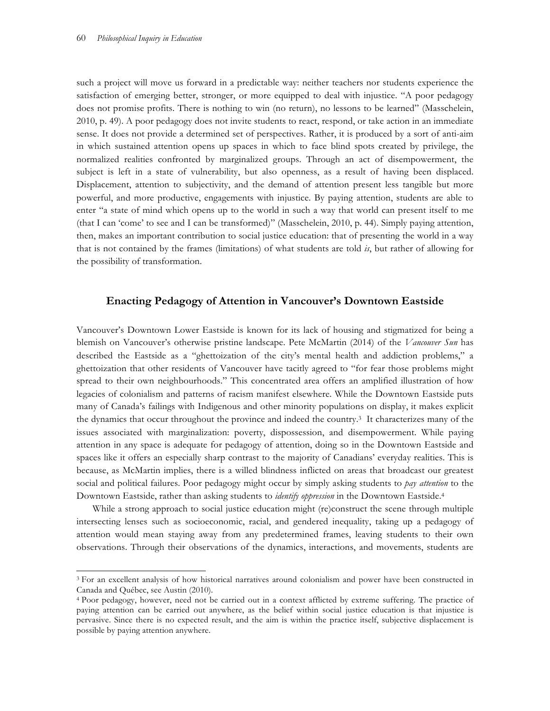$\overline{a}$ 

such a project will move us forward in a predictable way: neither teachers nor students experience the satisfaction of emerging better, stronger, or more equipped to deal with injustice. "A poor pedagogy does not promise profits. There is nothing to win (no return), no lessons to be learned" (Masschelein, 2010, p. 49). A poor pedagogy does not invite students to react, respond, or take action in an immediate sense. It does not provide a determined set of perspectives. Rather, it is produced by a sort of anti-aim in which sustained attention opens up spaces in which to face blind spots created by privilege, the normalized realities confronted by marginalized groups. Through an act of disempowerment, the subject is left in a state of vulnerability, but also openness, as a result of having been displaced. Displacement, attention to subjectivity, and the demand of attention present less tangible but more powerful, and more productive, engagements with injustice. By paying attention, students are able to enter "a state of mind which opens up to the world in such a way that world can present itself to me (that I can 'come' to see and I can be transformed)" (Masschelein, 2010, p. 44). Simply paying attention, then, makes an important contribution to social justice education: that of presenting the world in a way that is not contained by the frames (limitations) of what students are told *is*, but rather of allowing for the possibility of transformation.

## **Enacting Pedagogy of Attention in Vancouver's Downtown Eastside**

Vancouver's Downtown Lower Eastside is known for its lack of housing and stigmatized for being a blemish on Vancouver's otherwise pristine landscape. Pete McMartin (2014) of the *Vancouver Sun* has described the Eastside as a "ghettoization of the city's mental health and addiction problems," a ghettoization that other residents of Vancouver have tacitly agreed to "for fear those problems might spread to their own neighbourhoods." This concentrated area offers an amplified illustration of how legacies of colonialism and patterns of racism manifest elsewhere. While the Downtown Eastside puts many of Canada's failings with Indigenous and other minority populations on display, it makes explicit the dynamics that occur throughout the province and indeed the country.3 It characterizes many of the issues associated with marginalization: poverty, dispossession, and disempowerment. While paying attention in any space is adequate for pedagogy of attention, doing so in the Downtown Eastside and spaces like it offers an especially sharp contrast to the majority of Canadians' everyday realities. This is because, as McMartin implies, there is a willed blindness inflicted on areas that broadcast our greatest social and political failures. Poor pedagogy might occur by simply asking students to *pay attention* to the Downtown Eastside, rather than asking students to *identify oppression* in the Downtown Eastside.4

While a strong approach to social justice education might (re)construct the scene through multiple intersecting lenses such as socioeconomic, racial, and gendered inequality, taking up a pedagogy of attention would mean staying away from any predetermined frames, leaving students to their own observations. Through their observations of the dynamics, interactions, and movements, students are

<sup>3</sup> For an excellent analysis of how historical narratives around colonialism and power have been constructed in Canada and Québec, see Austin (2010).

<sup>4</sup> Poor pedagogy, however, need not be carried out in a context afflicted by extreme suffering. The practice of paying attention can be carried out anywhere, as the belief within social justice education is that injustice is pervasive. Since there is no expected result, and the aim is within the practice itself, subjective displacement is possible by paying attention anywhere.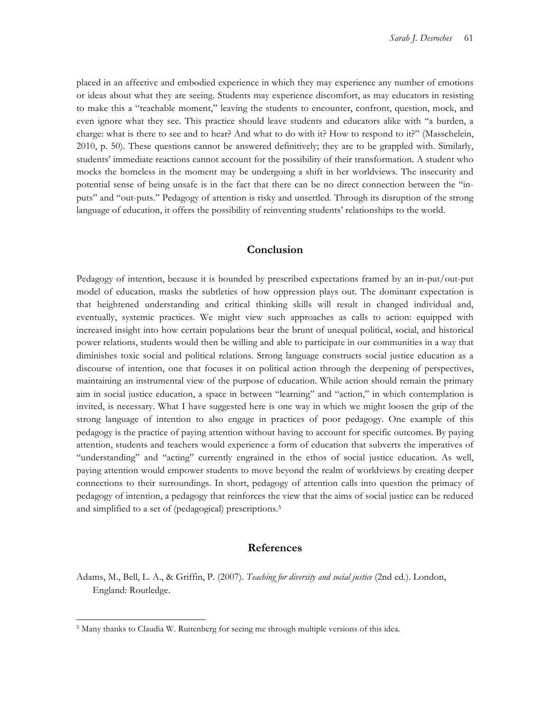placed in an affective and embodied experience in which they may experience any number of emotions or ideas about what they are seeing. Students may experience discomfort, as may educators in resisting to make this a "teachable moment," leaving the students to encounter, confront, question, mock, and even ignore what they see. This practice should leave students and educators alike with "a burden, a charge: what is there to see and to hear? And what to do with it? How to respond to it?" (Masschelein, 2010, p. 50). These questions cannot be answered definitively; they are to be grappled with. Similarly, students' immediate reactions cannot account for the possibility of their transformation. A student who mocks the homeless in the moment may be undergoing a shift in her worldviews. The insecurity and potential sense of being unsafe is in the fact that there can be no direct connection between the "inputs" and "out-puts." Pedagogy of attention is risky and unsettled. Through its disruption of the strong language of education, it offers the possibility of reinventing students' relationships to the world.

## **Conclusion**

Pedagogy of intention, because it is bounded by prescribed expectations framed by an in-put/out-put model of education, masks the subtleties of how oppression plays out. The dominant expectation is that heightened understanding and critical thinking skills will result in changed individual and, eventually, systemic practices. We might view such approaches as calls to action: equipped with increased insight into how certain populations bear the brunt of unequal political, social, and historical power relations, students would then be willing and able to participate in our communities in a way that diminishes toxic social and political relations. Strong language constructs social justice education as a discourse of intention, one that focuses it on political action through the deepening of perspectives, maintaining an instrumental view of the purpose of education. While action should remain the primary aim in social justice education, a space in between "learning" and "action," in which contemplation is invited, is necessary. What I have suggested here is one way in which we might loosen the grip of the strong language of intention to also engage in practices of poor pedagogy. One example of this pedagogy is the practice of paying attention without having to account for specific outcomes. By paying attention, students and teachers would experience a form of education that subverts the imperatives of "understanding" and "acting" currently engrained in the ethos of social justice education. As well, paying attention would empower students to move beyond the realm of worldviews by creating deeper connections to their surroundings. In short, pedagogy of attention calls into question the primacy of pedagogy of intention, a pedagogy that reinforces the view that the aims of social justice can be reduced and simplified to a set of (pedagogical) prescriptions.<sup>5</sup>

## **References**

Adams, M., Bell, L. A., & Griffin, P. (2007). *Teaching for diversity and social justice* (2nd ed.). London, England: Routledge.

 $\overline{a}$ 

<sup>5</sup> Many thanks to Claudia W. Ruitenberg for seeing me through multiple versions of this idea.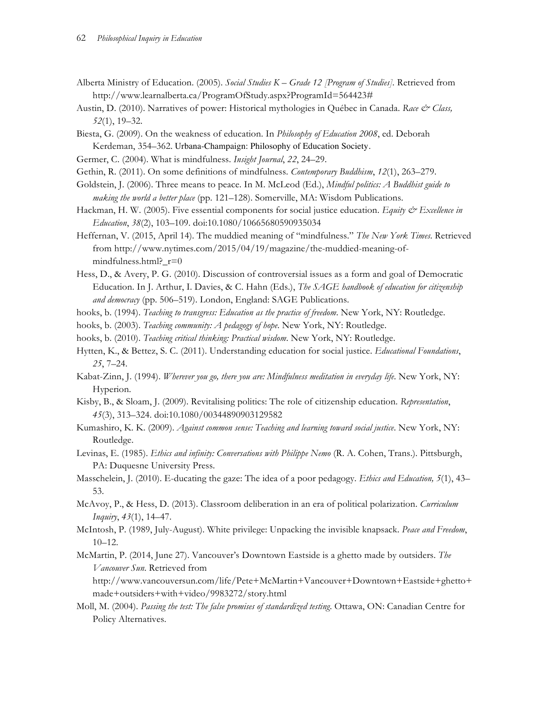- Alberta Ministry of Education. (2005). *Social Studies K – Grade 12 [Program of Studies].* Retrieved from http://www.learnalberta.ca/ProgramOfStudy.aspx?ProgramId=564423#
- Austin, D. (2010). Narratives of power: Historical mythologies in Québec in Canada. *Race & Class, 52*(1), 19–32.
- Biesta, G. (2009). On the weakness of education. In *Philosophy of Education 2008*, ed. Deborah Kerdeman, 354–362. Urbana-Champaign: Philosophy of Education Society.
- Germer, C. (2004). What is mindfulness. *Insight Journal*, *22*, 24–29.
- Gethin, R. (2011). On some definitions of mindfulness. *Contemporary Buddhism*, *12*(1), 263–279.
- Goldstein, J. (2006). Three means to peace. In M. McLeod (Ed.), *Mindful politics: A Buddhist guide to making the world a better place* (pp. 121–128). Somerville, MA: Wisdom Publications.
- Hackman, H. W. (2005). Five essential components for social justice education. *Equity & Excellence in Education*, *38*(2), 103–109. doi:10.1080/10665680590935034
- Heffernan, V. (2015, April 14). The muddied meaning of "mindfulness." *The New York Times*. Retrieved from http://www.nytimes.com/2015/04/19/magazine/the-muddied-meaning-ofmindfulness.html?\_r=0
- Hess, D., & Avery, P. G. (2010). Discussion of controversial issues as a form and goal of Democratic Education. In J. Arthur, I. Davies, & C. Hahn (Eds.), *The SAGE handbook of education for citizenship and democracy* (pp. 506–519). London, England: SAGE Publications.
- hooks, b. (1994). *Teaching to transgress: Education as the practice of freedom*. New York, NY: Routledge.
- hooks, b. (2003). *Teaching community: A pedagogy of hope*. New York, NY: Routledge.
- hooks, b. (2010). *Teaching critical thinking: Practical wisdom*. New York, NY: Routledge.
- Hytten, K., & Bettez, S. C. (2011). Understanding education for social justice. *Educational Foundations*, *25*, 7–24.
- Kabat-Zinn, J. (1994). *Wherever you go, there you are: Mindfulness meditation in everyday life*. New York, NY: Hyperion.
- Kisby, B., & Sloam, J. (2009). Revitalising politics: The role of citizenship education. *Representation*, *45*(3), 313–324. doi:10.1080/00344890903129582
- Kumashiro, K. K. (2009). *Against common sense: Teaching and learning toward social justice*. New York, NY: Routledge.
- Levinas, E. (1985). *Ethics and infinity: Conversations with Philippe Nemo* (R. A. Cohen, Trans.). Pittsburgh, PA: Duquesne University Press.
- Masschelein, J. (2010). E-ducating the gaze: The idea of a poor pedagogy. *Ethics and Education, 5*(1), 43– 53.
- McAvoy, P., & Hess, D. (2013). Classroom deliberation in an era of political polarization. *Curriculum Inquiry*, *43*(1), 14–47.
- McIntosh, P. (1989, July-August). White privilege: Unpacking the invisible knapsack. *Peace and Freedom*, 10–12.
- McMartin, P. (2014, June 27). Vancouver's Downtown Eastside is a ghetto made by outsiders. *The Vancouver Sun*. Retrieved from
	- http://www.vancouversun.com/life/Pete+McMartin+Vancouver+Downtown+Eastside+ghetto+ made+outsiders+with+video/9983272/story.html
- Moll, M. (2004). *Passing the test: The false promises of standardized testing*. Ottawa, ON: Canadian Centre for Policy Alternatives.